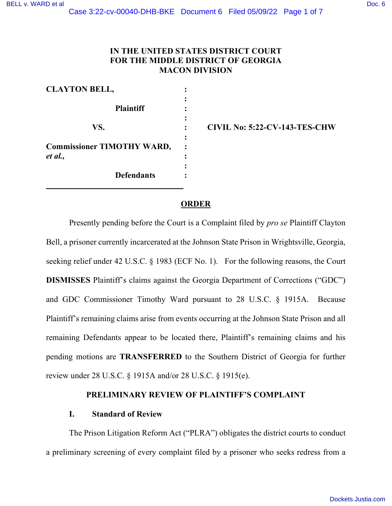# **IN THE UNITED STATES DISTRICT COURT FOR THE MIDDLE DISTRICT OF GEORGIA MACON DIVISION**

| <b>CLAYTON BELL,</b>              |  |
|-----------------------------------|--|
|                                   |  |
| <b>Plaintiff</b>                  |  |
|                                   |  |
| VS.                               |  |
|                                   |  |
| <b>Commissioner TIMOTHY WARD,</b> |  |
| et al.,                           |  |
|                                   |  |
| <b>Defendants</b>                 |  |
|                                   |  |

**VS. : CIVIL No: 5:22-CV-143-TES-CHW** 

## **ORDER**

Presently pending before the Court is a Complaint filed by *pro se* Plaintiff Clayton Bell, a prisoner currently incarcerated at the Johnson State Prison in Wrightsville, Georgia, seeking relief under 42 U.S.C. § 1983 (ECF No. 1). For the following reasons, the Court **DISMISSES** Plaintiff's claims against the Georgia Department of Corrections ("GDC") and GDC Commissioner Timothy Ward pursuant to 28 U.S.C. § 1915A. Because Plaintiff's remaining claims arise from events occurring at the Johnson State Prison and all remaining Defendants appear to be located there, Plaintiff's remaining claims and his pending motions are **TRANSFERRED** to the Southern District of Georgia for further review under 28 U.S.C. § 1915A and/or 28 U.S.C. § 1915(e).

### **PRELIMINARY REVIEW OF PLAINTIFF'S COMPLAINT**

### **I. Standard of Review**

The Prison Litigation Reform Act ("PLRA") obligates the district courts to conduct a preliminary screening of every complaint filed by a prisoner who seeks redress from a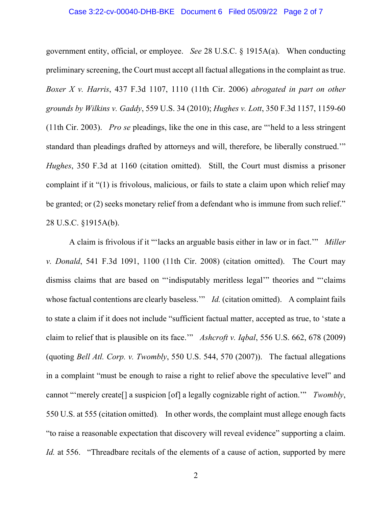#### Case 3:22-cv-00040-DHB-BKE Document 6 Filed 05/09/22 Page 2 of 7

government entity, official, or employee. *See* 28 U.S.C. § 1915A(a). When conducting preliminary screening, the Court must accept all factual allegations in the complaint as true. *Boxer X v. Harris*, 437 F.3d 1107, 1110 (11th Cir. 2006) *abrogated in part on other grounds by Wilkins v. Gaddy*, 559 U.S. 34 (2010); *Hughes v. Lott*, 350 F.3d 1157, 1159-60 (11th Cir. 2003). *Pro se* pleadings, like the one in this case, are "'held to a less stringent standard than pleadings drafted by attorneys and will, therefore, be liberally construed.'" *Hughes*, 350 F.3d at 1160 (citation omitted). Still, the Court must dismiss a prisoner complaint if it "(1) is frivolous, malicious, or fails to state a claim upon which relief may be granted; or (2) seeks monetary relief from a defendant who is immune from such relief." 28 U.S.C. §1915A(b).

A claim is frivolous if it "'lacks an arguable basis either in law or in fact.'" *Miller v. Donald*, 541 F.3d 1091, 1100 (11th Cir. 2008) (citation omitted). The Court may dismiss claims that are based on "'indisputably meritless legal'" theories and "'claims whose factual contentions are clearly baseless." *Id.* (citation omitted). A complaint fails to state a claim if it does not include "sufficient factual matter, accepted as true, to 'state a claim to relief that is plausible on its face.'" *Ashcroft v. Iqbal*, 556 U.S. 662, 678 (2009) (quoting *Bell Atl. Corp. v. Twombly*, 550 U.S. 544, 570 (2007)). The factual allegations in a complaint "must be enough to raise a right to relief above the speculative level" and cannot "'merely create[] a suspicion [of] a legally cognizable right of action.'" *Twombly*, 550 U.S. at 555 (citation omitted)*.* In other words, the complaint must allege enough facts "to raise a reasonable expectation that discovery will reveal evidence" supporting a claim. *Id.* at 556. "Threadbare recitals of the elements of a cause of action, supported by mere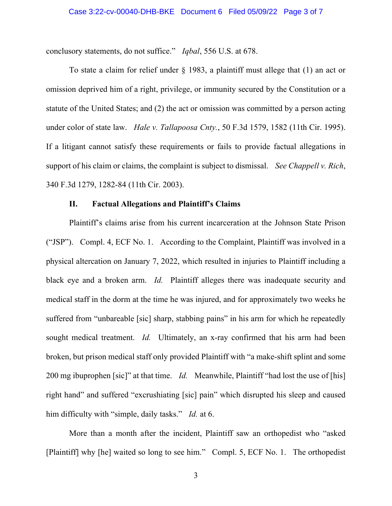conclusory statements, do not suffice." *Iqbal*, 556 U.S. at 678.

To state a claim for relief under § 1983, a plaintiff must allege that (1) an act or omission deprived him of a right, privilege, or immunity secured by the Constitution or a statute of the United States; and (2) the act or omission was committed by a person acting under color of state law. *Hale v. Tallapoosa Cnty.*, 50 F.3d 1579, 1582 (11th Cir. 1995). If a litigant cannot satisfy these requirements or fails to provide factual allegations in support of his claim or claims, the complaint is subject to dismissal. *See Chappell v. Rich*, 340 F.3d 1279, 1282-84 (11th Cir. 2003).

#### **II. Factual Allegations and Plaintiff's Claims**

Plaintiff's claims arise from his current incarceration at the Johnson State Prison ("JSP"). Compl. 4, ECF No. 1. According to the Complaint, Plaintiff was involved in a physical altercation on January 7, 2022, which resulted in injuries to Plaintiff including a black eye and a broken arm. *Id.* Plaintiff alleges there was inadequate security and medical staff in the dorm at the time he was injured, and for approximately two weeks he suffered from "unbareable [sic] sharp, stabbing pains" in his arm for which he repeatedly sought medical treatment. *Id.* Ultimately, an x-ray confirmed that his arm had been broken, but prison medical staff only provided Plaintiff with "a make-shift splint and some 200 mg ibuprophen [sic]" at that time. *Id.* Meanwhile, Plaintiff "had lost the use of [his] right hand" and suffered "excrushiating [sic] pain" which disrupted his sleep and caused him difficulty with "simple, daily tasks." *Id.* at 6.

More than a month after the incident, Plaintiff saw an orthopedist who "asked [Plaintiff] why [he] waited so long to see him." Compl. 5, ECF No. 1. The orthopedist

3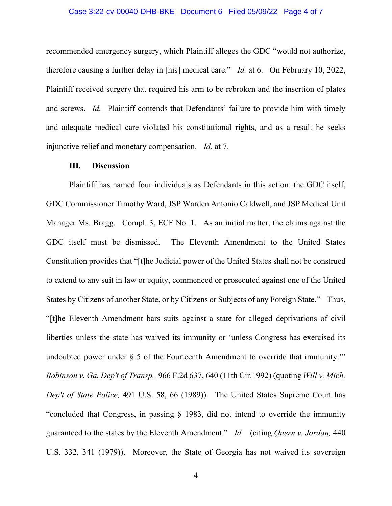#### Case 3:22-cv-00040-DHB-BKE Document 6 Filed 05/09/22 Page 4 of 7

recommended emergency surgery, which Plaintiff alleges the GDC "would not authorize, therefore causing a further delay in [his] medical care." *Id.* at 6. On February 10, 2022, Plaintiff received surgery that required his arm to be rebroken and the insertion of plates and screws. *Id.* Plaintiff contends that Defendants' failure to provide him with timely and adequate medical care violated his constitutional rights, and as a result he seeks injunctive relief and monetary compensation. *Id.* at 7.

#### **III. Discussion**

Plaintiff has named four individuals as Defendants in this action: the GDC itself, GDC Commissioner Timothy Ward, JSP Warden Antonio Caldwell, and JSP Medical Unit Manager Ms. Bragg. Compl. 3, ECF No. 1. As an initial matter, the claims against the GDC itself must be dismissed. The Eleventh Amendment to the United States Constitution provides that "[t]he Judicial power of the United States shall not be construed to extend to any suit in law or equity, commenced or prosecuted against one of the United States by Citizens of another State, or by Citizens or Subjects of any Foreign State." Thus, "[t]he Eleventh Amendment bars suits against a state for alleged deprivations of civil liberties unless the state has waived its immunity or 'unless Congress has exercised its undoubted power under  $\S$  5 of the Fourteenth Amendment to override that immunity." *Robinson v. Ga. Dep't of Transp.,* [966 F.2d 637, 640 \(11th Cir.1992\)](https://a.next.westlaw.com/Link/Document/FullText?findType=Y&serNum=1992119694&pubNum=350&originatingDoc=Id9a09d132c2811dfae65b23e804c3c12&refType=RP&fi=co_pp_sp_350_640&originationContext=document&transitionType=DocumentItem&contextData=(sc.Search)#co_pp_sp_350_640) (quoting *[Will v. Mich.](https://a.next.westlaw.com/Link/Document/FullText?findType=Y&serNum=1989089479&pubNum=708&originatingDoc=Id9a09d132c2811dfae65b23e804c3c12&refType=RP&originationContext=document&transitionType=DocumentItem&contextData=(sc.Search))  Dep't of State Police,* [491 U.S. 58, 66 \(1989\)\)](https://a.next.westlaw.com/Link/Document/FullText?findType=Y&serNum=1989089479&pubNum=708&originatingDoc=Id9a09d132c2811dfae65b23e804c3c12&refType=RP&originationContext=document&transitionType=DocumentItem&contextData=(sc.Search)). The United States Supreme Court has "concluded that Congress, in passing [§ 1983,](https://a.next.westlaw.com/Link/Document/FullText?findType=L&pubNum=1000546&cite=42USCAS1983&originatingDoc=Id9a09d132c2811dfae65b23e804c3c12&refType=LQ&originationContext=document&transitionType=DocumentItem&contextData=(sc.Search)) did not intend to override the immunity guaranteed to the states by the Eleventh Amendment." *Id.* (citing *[Quern v. Jordan,](https://a.next.westlaw.com/Link/Document/FullText?findType=Y&serNum=1979108041&pubNum=708&originatingDoc=Id9a09d132c2811dfae65b23e804c3c12&refType=RP&originationContext=document&transitionType=DocumentItem&contextData=(sc.Search))* 440 [U.S. 332, 341 \(1979\)\)](https://a.next.westlaw.com/Link/Document/FullText?findType=Y&serNum=1979108041&pubNum=708&originatingDoc=Id9a09d132c2811dfae65b23e804c3c12&refType=RP&originationContext=document&transitionType=DocumentItem&contextData=(sc.Search)). Moreover, the State of Georgia has not waived its sovereign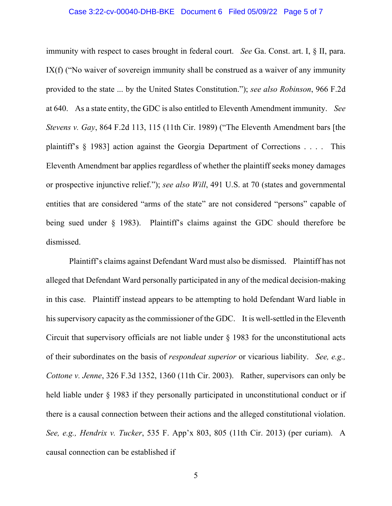#### Case 3:22-cv-00040-DHB-BKE Document 6 Filed 05/09/22 Page 5 of 7

immunity with respect to cases brought in federal court. *See* [Ga. Const. art. I, § II, para.](https://a.next.westlaw.com/Link/Document/FullText?findType=L&pubNum=1000468&cite=GACNART1S2PIX&originatingDoc=Id9a09d132c2811dfae65b23e804c3c12&refType=LQ&originationContext=document&transitionType=DocumentItem&contextData=(sc.Search))  [IX\(f\)](https://a.next.westlaw.com/Link/Document/FullText?findType=L&pubNum=1000468&cite=GACNART1S2PIX&originatingDoc=Id9a09d132c2811dfae65b23e804c3c12&refType=LQ&originationContext=document&transitionType=DocumentItem&contextData=(sc.Search)) ("No waiver of sovereign immunity shall be construed as a waiver of any immunity provided to the state ... by the United States Constitution."); *see also Robinson*, 966 F.2d at 640. As a state entity, the GDC is also entitled to Eleventh Amendment immunity. *See Stevens v. Gay*, 864 F.2d 113, 115 (11th Cir. 1989) ("The Eleventh Amendment bars [the plaintiff's § 1983] action against the Georgia Department of Corrections . . . . This Eleventh Amendment bar applies regardless of whether the plaintiff seeks money damages or prospective injunctive relief."); *see also Will*, 491 U.S. at 70 (states and governmental entities that are considered "arms of the state" are not considered "persons" capable of being sued under § 1983). Plaintiff's claims against the GDC should therefore be dismissed.

Plaintiff's claims against Defendant Ward must also be dismissed. Plaintiff has not alleged that Defendant Ward personally participated in any of the medical decision-making in this case. Plaintiff instead appears to be attempting to hold Defendant Ward liable in his supervisory capacity as the commissioner of the GDC. It is well-settled in the Eleventh Circuit that supervisory officials are not liable under  $\S$  1983 for the unconstitutional acts of their subordinates on the basis of *respondeat superior* or vicarious liability. *See, e.g., Cottone v. Jenne*, 326 F.3d 1352, 1360 (11th Cir. 2003). Rather, supervisors can only be held liable under  $\S$  1983 if they personally participated in unconstitutional conduct or if there is a causal connection between their actions and the alleged constitutional violation. *See, e.g., Hendrix v. Tucker*, 535 F. App'x 803, 805 (11th Cir. 2013) (per curiam). A causal connection can be established if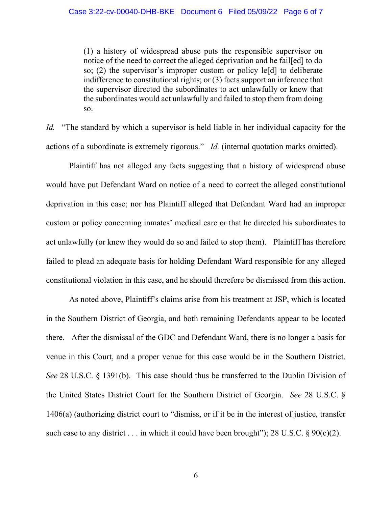(1) a history of widespread abuse puts the responsible supervisor on notice of the need to correct the alleged deprivation and he fail[ed] to do so; (2) the supervisor's improper custom or policy le[d] to deliberate indifference to constitutional rights; or (3) facts support an inference that the supervisor directed the subordinates to act unlawfully or knew that the subordinates would act unlawfully and failed to stop them from doing so.

*Id.* "The standard by which a supervisor is held liable in her individual capacity for the actions of a subordinate is extremely rigorous." *Id.* (internal quotation marks omitted).

Plaintiff has not alleged any facts suggesting that a history of widespread abuse would have put Defendant Ward on notice of a need to correct the alleged constitutional deprivation in this case; nor has Plaintiff alleged that Defendant Ward had an improper custom or policy concerning inmates' medical care or that he directed his subordinates to act unlawfully (or knew they would do so and failed to stop them). Plaintiff has therefore failed to plead an adequate basis for holding Defendant Ward responsible for any alleged constitutional violation in this case, and he should therefore be dismissed from this action.

As noted above, Plaintiff's claims arise from his treatment at JSP, which is located in the Southern District of Georgia, and both remaining Defendants appear to be located there. After the dismissal of the GDC and Defendant Ward, there is no longer a basis for venue in this Court, and a proper venue for this case would be in the Southern District. *See* 28 U.S.C. § 1391(b). This case should thus be transferred to the Dublin Division of the United States District Court for the Southern District of Georgia. *See* 28 U.S.C. § 1406(a) (authorizing district court to "dismiss, or if it be in the interest of justice, transfer such case to any district . . . in which it could have been brought"); 28 U.S.C.  $\S 90(c)(2)$ .